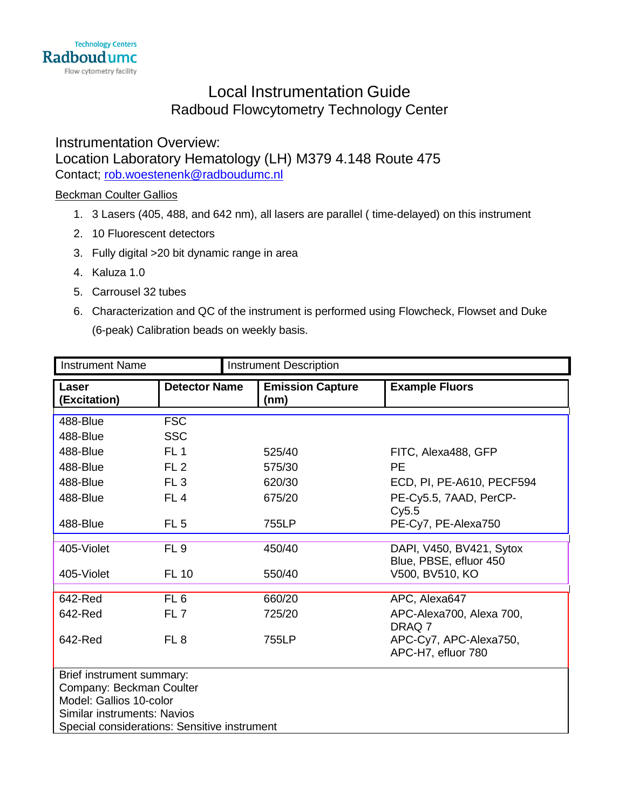# Local Instrumentation Guide Radboud Flowcytometry Technology Center

Instrumentation Overview: Location Laboratory Hematology (LH) M379 4.148 Route 475 Contact; [rob.woestenenk@radboudumc.nl](mailto:rob.woestenenk@radboudumc.nl)

### Beckman Coulter Gallios

- 1. 3 Lasers (405, 488, and 642 nm), all lasers are parallel ( time-delayed) on this instrument
- 2. 10 Fluorescent detectors
- 3. Fully digital >20 bit dynamic range in area
- 4. Kaluza 1.0
- 5. Carrousel 32 tubes
- 6. Characterization and QC of the instrument is performed using Flowcheck, Flowset and Duke (6-peak) Calibration beads on weekly basis.

| <b>Instrument Name</b>                       |                      | <b>Instrument Description</b>   |                           |  |
|----------------------------------------------|----------------------|---------------------------------|---------------------------|--|
| Laser<br>(Excitation)                        | <b>Detector Name</b> | <b>Emission Capture</b><br>(nm) | <b>Example Fluors</b>     |  |
| 488-Blue                                     | <b>FSC</b>           |                                 |                           |  |
| 488-Blue                                     | <b>SSC</b>           |                                 |                           |  |
| 488-Blue                                     | FL <sub>1</sub>      | 525/40                          | FITC, Alexa488, GFP       |  |
| 488-Blue                                     | FL2                  | 575/30                          | <b>PE</b>                 |  |
| 488-Blue                                     | FL <sub>3</sub>      | 620/30                          | ECD, PI, PE-A610, PECF594 |  |
| 488-Blue                                     | FL <sub>4</sub>      | 675/20                          | PE-Cy5.5, 7AAD, PerCP-    |  |
|                                              |                      |                                 | Cy5.5                     |  |
| 488-Blue                                     | FL <sub>5</sub>      | 755LP                           | PE-Cy7, PE-Alexa750       |  |
| 405-Violet                                   | FL <sub>9</sub>      | 450/40                          | DAPI, V450, BV421, Sytox  |  |
|                                              |                      |                                 | Blue, PBSE, efluor 450    |  |
| 405-Violet                                   | <b>FL 10</b>         | 550/40                          | V500, BV510, KO           |  |
| 642-Red                                      | FL <sub>6</sub>      | 660/20                          | APC, Alexa647             |  |
| 642-Red                                      | FL <sub>7</sub>      | 725/20                          | APC-Alexa700, Alexa 700,  |  |
|                                              |                      |                                 | DRAQ 7                    |  |
| 642-Red                                      | FL <sub>8</sub>      | 755LP                           | APC-Cy7, APC-Alexa750,    |  |
|                                              |                      |                                 | APC-H7, efluor 780        |  |
| Brief instrument summary:                    |                      |                                 |                           |  |
| Company: Beckman Coulter                     |                      |                                 |                           |  |
| Model: Gallios 10-color                      |                      |                                 |                           |  |
| Similar instruments: Navios                  |                      |                                 |                           |  |
| Special considerations: Sensitive instrument |                      |                                 |                           |  |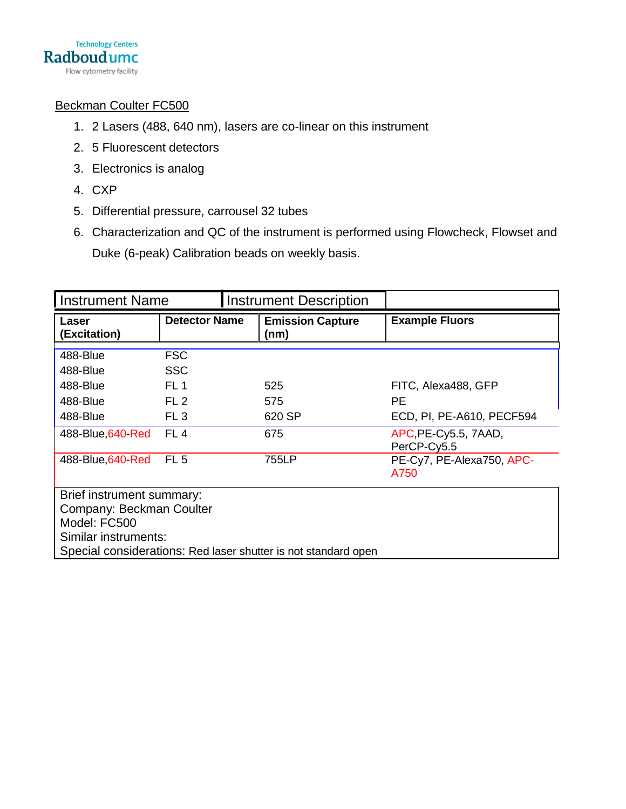

### Beckman Coulter FC500

- 1. 2 Lasers (488, 640 nm), lasers are co-linear on this instrument
- 2. 5 Fluorescent detectors
- 3. Electronics is analog
- 4. CXP
- 5. Differential pressure, carrousel 32 tubes
- 6. Characterization and QC of the instrument is performed using Flowcheck, Flowset and Duke (6-peak) Calibration beads on weekly basis.

| <b>Instrument Name</b>                                                                                                                                          |                                    |  | <b>Instrument Description</b>   |                                     |
|-----------------------------------------------------------------------------------------------------------------------------------------------------------------|------------------------------------|--|---------------------------------|-------------------------------------|
| Laser<br>(Excitation)                                                                                                                                           | <b>Detector Name</b>               |  | <b>Emission Capture</b><br>(nm) | <b>Example Fluors</b>               |
| 488-Blue<br>488-Blue                                                                                                                                            | <b>FSC</b><br><b>SSC</b>           |  |                                 |                                     |
| 488-Blue                                                                                                                                                        | FL <sub>1</sub>                    |  | 525                             | FITC, Alexa488, GFP                 |
| 488-Blue<br>488-Blue                                                                                                                                            | FL <sub>2</sub><br>FL <sub>3</sub> |  | 575<br>620 SP                   | РE<br>ECD, PI, PE-A610, PECF594     |
| 488-Blue, 640-Red                                                                                                                                               | FL4                                |  | 675                             | APC, PE-Cy5.5, 7AAD,<br>PerCP-Cv5.5 |
| 488-Blue, 640-Red                                                                                                                                               | FL <sub>5</sub>                    |  | 755LP                           | PE-Cy7, PE-Alexa750, APC-<br>A750   |
| Brief instrument summary:<br>Company: Beckman Coulter<br>Model: FC500<br>Similar instruments:<br>Special considerations: Red laser shutter is not standard open |                                    |  |                                 |                                     |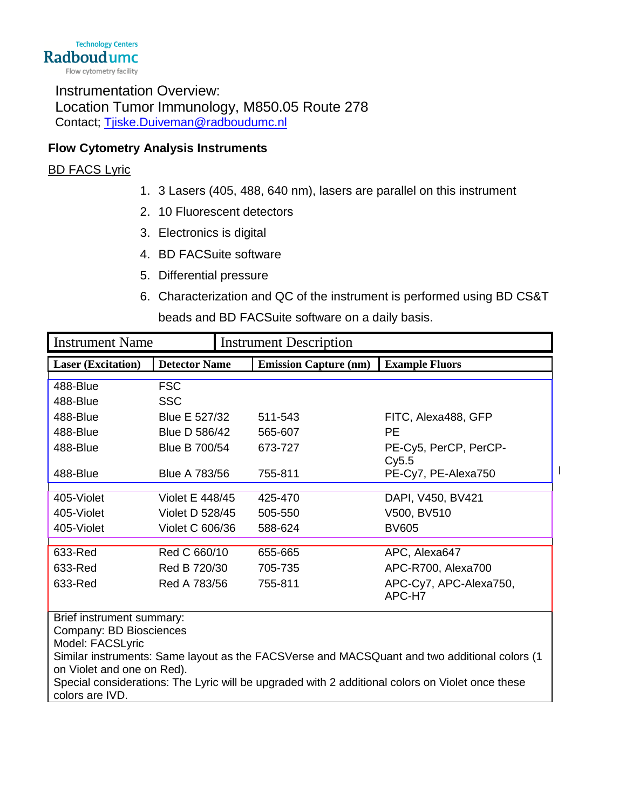Instrumentation Overview: Location Tumor Immunology, M850.05 Route 278 Contact; [Tjiske.Duiveman@radboudumc.nl](mailto:Tjiske.Duiveman@radboudumc.nl)

# **Flow Cytometry Analysis Instruments**

# BD FACS Lyric

- 1. 3 Lasers (405, 488, 640 nm), lasers are parallel on this instrument
- 2. 10 Fluorescent detectors
- 3. Electronics is digital
- 4. BD FACSuite software
- 5. Differential pressure
- 6. Characterization and QC of the instrument is performed using BD CS&T beads and BD FACSuite software on a daily basis.

 $\overline{1}$ 

| <b>Instrument Name</b>                                                                                                     |                      | <b>Instrument Description</b> |                                  |  |  |
|----------------------------------------------------------------------------------------------------------------------------|----------------------|-------------------------------|----------------------------------|--|--|
| <b>Laser</b> (Excitation)                                                                                                  | <b>Detector Name</b> | <b>Emission Capture (nm)</b>  | <b>Example Fluors</b>            |  |  |
| 488-Blue                                                                                                                   | <b>FSC</b>           |                               |                                  |  |  |
| 488-Blue                                                                                                                   | <b>SSC</b>           |                               |                                  |  |  |
| 488-Blue                                                                                                                   | Blue E 527/32        | 511-543                       | FITC, Alexa488, GFP              |  |  |
| 488-Blue                                                                                                                   | Blue D 586/42        | 565-607                       | <b>PE</b>                        |  |  |
| 488-Blue                                                                                                                   | Blue B 700/54        | 673-727                       | PE-Cy5, PerCP, PerCP-            |  |  |
|                                                                                                                            |                      |                               | Cy5.5                            |  |  |
| 488-Blue                                                                                                                   | <b>Blue A 783/56</b> | 755-811                       | PE-Cy7, PE-Alexa750              |  |  |
| 405-Violet                                                                                                                 | Violet E 448/45      | 425-470                       | DAPI, V450, BV421                |  |  |
| 405-Violet                                                                                                                 | Violet D 528/45      | 505-550                       | V500, BV510                      |  |  |
| 405-Violet                                                                                                                 | Violet C 606/36      | 588-624                       | <b>BV605</b>                     |  |  |
| 633-Red                                                                                                                    | Red C 660/10         | 655-665                       | APC, Alexa647                    |  |  |
| 633-Red                                                                                                                    | Red B 720/30         | 705-735                       | APC-R700, Alexa700               |  |  |
| 633-Red                                                                                                                    | Red A 783/56         | 755-811                       | APC-Cy7, APC-Alexa750,<br>APC-H7 |  |  |
| Brief instrument summary:                                                                                                  |                      |                               |                                  |  |  |
| Company: BD Biosciences                                                                                                    |                      |                               |                                  |  |  |
| Model: FACSLyric                                                                                                           |                      |                               |                                  |  |  |
| Similar instruments: Same layout as the FACSVerse and MACSQuant and two additional colors (1<br>on Violet and one on Red). |                      |                               |                                  |  |  |
| Special considerations: The Lyric will be upgraded with 2 additional colors on Violet once these                           |                      |                               |                                  |  |  |
| colors are IVD.                                                                                                            |                      |                               |                                  |  |  |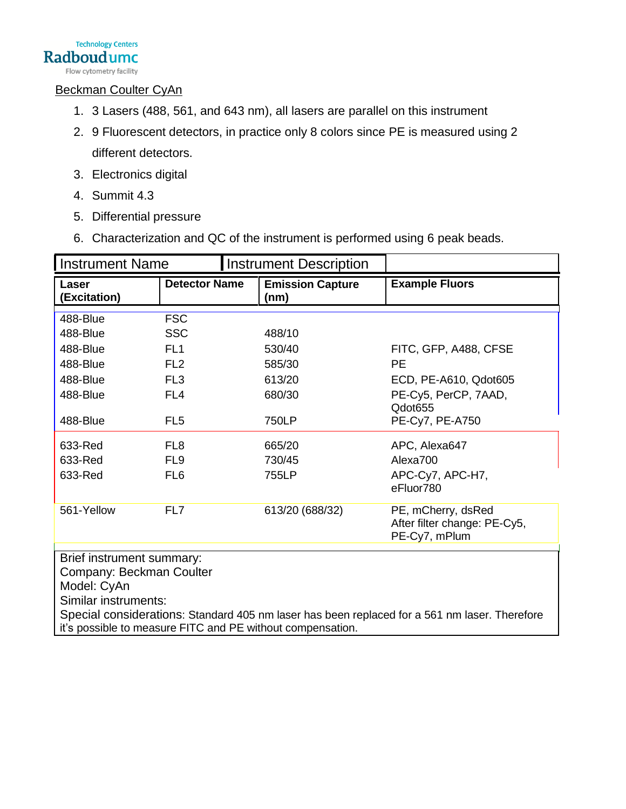

Flow cytometry facility

#### Beckman Coulter CyAn

- 1. 3 Lasers (488, 561, and 643 nm), all lasers are parallel on this instrument
- 2. 9 Fluorescent detectors, in practice only 8 colors since PE is measured using 2 different detectors.
- 3. Electronics digital
- 4. Summit 4.3
- 5. Differential pressure
- 6. Characterization and QC of the instrument is performed using 6 peak beads.

| <b>Instrument Name</b>                                                                                                                                      |                      | <b>Instrument Description</b>   |                                                                     |  |
|-------------------------------------------------------------------------------------------------------------------------------------------------------------|----------------------|---------------------------------|---------------------------------------------------------------------|--|
| Laser<br>(Excitation)                                                                                                                                       | <b>Detector Name</b> | <b>Emission Capture</b><br>(nm) | <b>Example Fluors</b>                                               |  |
| 488-Blue                                                                                                                                                    | <b>FSC</b>           |                                 |                                                                     |  |
| 488-Blue                                                                                                                                                    | <b>SSC</b>           | 488/10                          |                                                                     |  |
| 488-Blue                                                                                                                                                    | FL <sub>1</sub>      | 530/40                          | FITC, GFP, A488, CFSE                                               |  |
| 488-Blue                                                                                                                                                    | FL <sub>2</sub>      | 585/30                          | <b>PE</b>                                                           |  |
| 488-Blue                                                                                                                                                    | FL <sub>3</sub>      | 613/20                          | ECD, PE-A610, Qdot605                                               |  |
| 488-Blue                                                                                                                                                    | FL <sub>4</sub>      | 680/30                          | PE-Cy5, PerCP, 7AAD,<br>Qdot655                                     |  |
| 488-Blue                                                                                                                                                    | FL <sub>5</sub>      | 750LP                           | PE-Cy7, PE-A750                                                     |  |
| 633-Red                                                                                                                                                     | FL <sub>8</sub>      | 665/20                          | APC, Alexa647                                                       |  |
| 633-Red                                                                                                                                                     | FL <sub>9</sub>      | 730/45                          | Alexa700                                                            |  |
| 633-Red                                                                                                                                                     | FL <sub>6</sub>      | 755LP                           | APC-Cy7, APC-H7,<br>eFluor780                                       |  |
| 561-Yellow                                                                                                                                                  | FL7                  | 613/20 (688/32)                 | PE, mCherry, dsRed<br>After filter change: PE-Cy5,<br>PE-Cy7, mPlum |  |
| Brief instrument summary:                                                                                                                                   |                      |                                 |                                                                     |  |
| Company: Beckman Coulter                                                                                                                                    |                      |                                 |                                                                     |  |
| Model: CyAn                                                                                                                                                 |                      |                                 |                                                                     |  |
| Similar instruments:                                                                                                                                        |                      |                                 |                                                                     |  |
| Special considerations: Standard 405 nm laser has been replaced for a 561 nm laser. Therefore<br>it's possible to measure FITC and PE without compensation. |                      |                                 |                                                                     |  |
|                                                                                                                                                             |                      |                                 |                                                                     |  |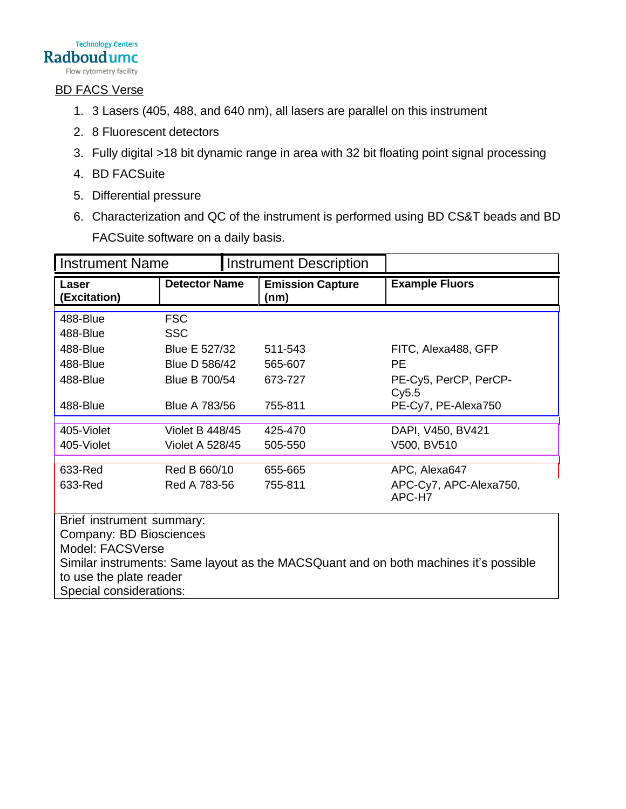

## BD FACS Verse

- 1. 3 Lasers (405, 488, and 640 nm), all lasers are parallel on this instrument
- 2. 8 Fluorescent detectors
- 3. Fully digital >18 bit dynamic range in area with 32 bit floating point signal processing
- 4. BD FACSuite
- 5. Differential pressure
- 6. Characterization and QC of the instrument is performed using BD CS&T beads and BD FACSuite software on a daily basis.

| <b>Instrument Name</b><br><b>Instrument Description</b>                              |                      |                                 |                                  |  |
|--------------------------------------------------------------------------------------|----------------------|---------------------------------|----------------------------------|--|
| Laser<br>(Excitation)                                                                | <b>Detector Name</b> | <b>Emission Capture</b><br>(nm) | <b>Example Fluors</b>            |  |
| 488-Blue                                                                             | <b>FSC</b>           |                                 |                                  |  |
| 488-Blue                                                                             | <b>SSC</b>           |                                 |                                  |  |
| 488-Blue                                                                             | Blue E 527/32        | 511-543                         | FITC, Alexa488, GFP              |  |
| 488-Blue                                                                             | Blue D 586/42        | 565-607                         | <b>PE</b>                        |  |
| 488-Blue                                                                             | Blue B 700/54        | 673-727                         | PE-Cy5, PerCP, PerCP-<br>Cy5.5   |  |
| 488-Blue                                                                             | <b>Blue A 783/56</b> | 755-811                         | PE-Cy7, PE-Alexa750              |  |
| 405-Violet                                                                           | Violet B 448/45      | 425-470                         | DAPI, V450, BV421                |  |
| 405-Violet                                                                           | Violet A 528/45      | 505-550                         | V500, BV510                      |  |
| 633-Red                                                                              | Red B 660/10         | 655-665                         | APC, Alexa647                    |  |
| 633-Red                                                                              | Red A 783-56         | 755-811                         | APC-Cy7, APC-Alexa750,<br>APC-H7 |  |
| Brief instrument summary:                                                            |                      |                                 |                                  |  |
| Company: BD Biosciences                                                              |                      |                                 |                                  |  |
| Model: FACSVerse                                                                     |                      |                                 |                                  |  |
| Similar instruments: Same layout as the MACSQuant and on both machines it's possible |                      |                                 |                                  |  |
| to use the plate reader                                                              |                      |                                 |                                  |  |
| Special considerations:                                                              |                      |                                 |                                  |  |